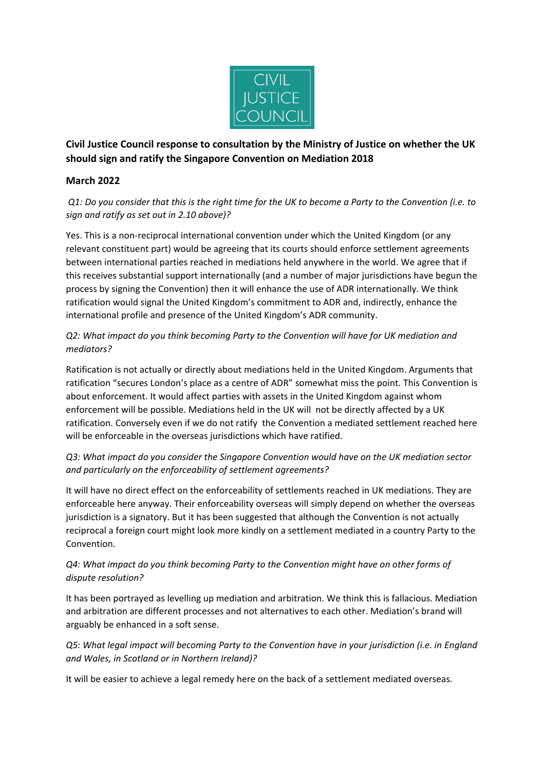

**Civil Justice Council response to consultation by the Ministry of Justice on whether the UK should sign and ratify the Singapore Convention on Mediation 2018**

## **March 2022**

*Q1: Do you consider that this is the right time for the UK to become a Party to the Convention (i.e. to sign and ratify as set out in 2.10 above)?* 

Yes. This is a non-reciprocal international convention under which the United Kingdom (or any relevant constituent part) would be agreeing that its courts should enforce settlement agreements between international parties reached in mediations held anywhere in the world. We agree that if this receives substantial support internationally (and a number of major jurisdictions have begun the process by signing the Convention) then it will enhance the use of ADR internationally. We think ratification would signal the United Kingdom's commitment to ADR and, indirectly, enhance the international profile and presence of the United Kingdom's ADR community.

# *Q2: What impact do you think becoming Party to the Convention will have for UK mediation and mediators?*

Ratification is not actually or directly about mediations held in the United Kingdom. Arguments that ratification "secures London's place as a centre of ADR" somewhat miss the point. This Convention is about enforcement. It would affect parties with assets in the United Kingdom against whom enforcement will be possible. Mediations held in the UK will not be directly affected by a UK ratification. Conversely even if we do not ratify the Convention a mediated settlement reached here will be enforceable in the overseas jurisdictions which have ratified.

# *Q3: What impact do you consider the Singapore Convention would have on the UK mediation sector and particularly on the enforceability of settlement agreements?*

It will have no direct effect on the enforceability of settlements reached in UK mediations. They are enforceable here anyway. Their enforceability overseas will simply depend on whether the overseas jurisdiction is a signatory. But it has been suggested that although the Convention is not actually reciprocal a foreign court might look more kindly on a settlement mediated in a country Party to the Convention.

# *Q4: What impact do you think becoming Party to the Convention might have on other forms of dispute resolution?*

It has been portrayed as levelling up mediation and arbitration. We think this is fallacious. Mediation and arbitration are different processes and not alternatives to each other. Mediation's brand will arguably be enhanced in a soft sense.

# *Q5: What legal impact will becoming Party to the Convention have in your jurisdiction (i.e. in England and Wales, in Scotland or in Northern Ireland)?*

It will be easier to achieve a legal remedy here on the back of a settlement mediated overseas.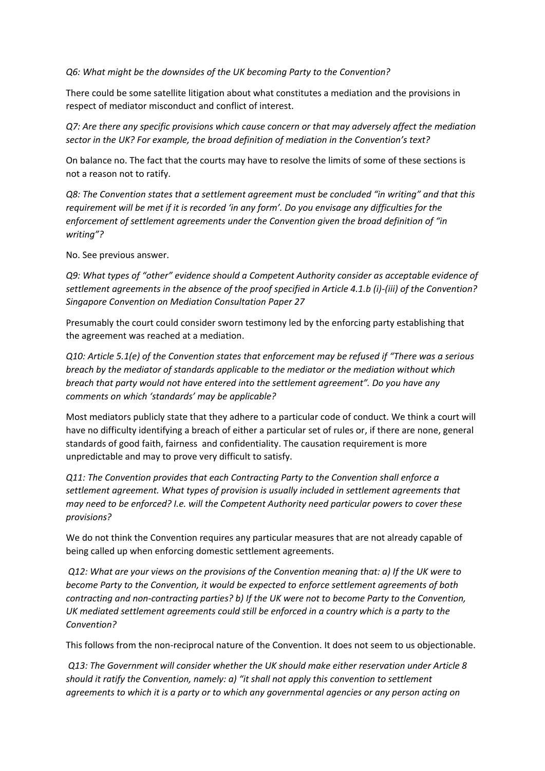*Q6: What might be the downsides of the UK becoming Party to the Convention?* 

There could be some satellite litigation about what constitutes a mediation and the provisions in respect of mediator misconduct and conflict of interest.

*Q7: Are there any specific provisions which cause concern or that may adversely affect the mediation sector in the UK? For example, the broad definition of mediation in the Convention's text?* 

On balance no. The fact that the courts may have to resolve the limits of some of these sections is not a reason not to ratify.

*Q8: The Convention states that a settlement agreement must be concluded "in writing" and that this requirement will be met if it is recorded 'in any form'. Do you envisage any difficulties for the enforcement of settlement agreements under the Convention given the broad definition of "in writing"?*

No. See previous answer.

*Q9: What types of "other" evidence should a Competent Authority consider as acceptable evidence of settlement agreements in the absence of the proof specified in Article 4.1.b (i)-(iii) of the Convention? Singapore Convention on Mediation Consultation Paper 27* 

Presumably the court could consider sworn testimony led by the enforcing party establishing that the agreement was reached at a mediation.

*Q10: Article 5.1(e) of the Convention states that enforcement may be refused if "There was a serious breach by the mediator of standards applicable to the mediator or the mediation without which breach that party would not have entered into the settlement agreement". Do you have any comments on which 'standards' may be applicable?* 

Most mediators publicly state that they adhere to a particular code of conduct. We think a court will have no difficulty identifying a breach of either a particular set of rules or, if there are none, general standards of good faith, fairness and confidentiality. The causation requirement is more unpredictable and may to prove very difficult to satisfy.

*Q11: The Convention provides that each Contracting Party to the Convention shall enforce a settlement agreement. What types of provision is usually included in settlement agreements that may need to be enforced? I.e. will the Competent Authority need particular powers to cover these provisions?*

We do not think the Convention requires any particular measures that are not already capable of being called up when enforcing domestic settlement agreements.

*Q12: What are your views on the provisions of the Convention meaning that: a) If the UK were to become Party to the Convention, it would be expected to enforce settlement agreements of both contracting and non-contracting parties? b) If the UK were not to become Party to the Convention, UK mediated settlement agreements could still be enforced in a country which is a party to the Convention?*

This follows from the non-reciprocal nature of the Convention. It does not seem to us objectionable.

*Q13: The Government will consider whether the UK should make either reservation under Article 8 should it ratify the Convention, namely: a) "it shall not apply this convention to settlement agreements to which it is a party or to which any governmental agencies or any person acting on*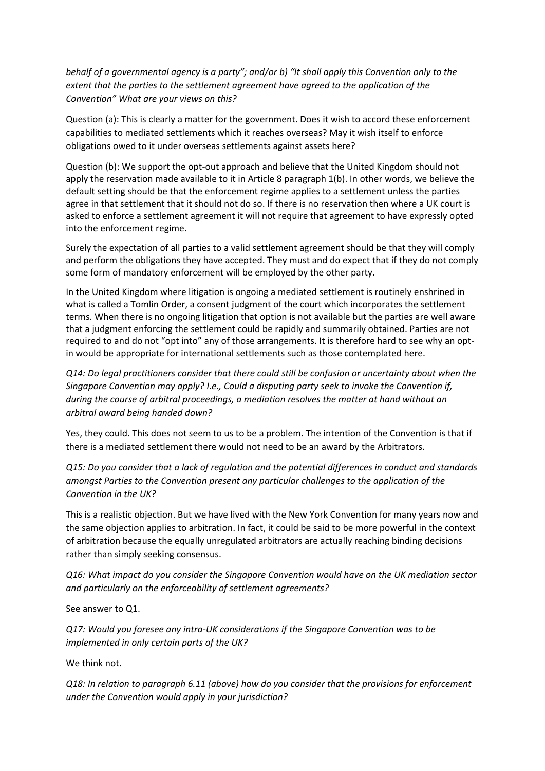*behalf of a governmental agency is a party"; and/or b) "It shall apply this Convention only to the extent that the parties to the settlement agreement have agreed to the application of the Convention" What are your views on this?* 

Question (a): This is clearly a matter for the government. Does it wish to accord these enforcement capabilities to mediated settlements which it reaches overseas? May it wish itself to enforce obligations owed to it under overseas settlements against assets here?

Question (b): We support the opt-out approach and believe that the United Kingdom should not apply the reservation made available to it in Article 8 paragraph 1(b). In other words, we believe the default setting should be that the enforcement regime applies to a settlement unless the parties agree in that settlement that it should not do so. If there is no reservation then where a UK court is asked to enforce a settlement agreement it will not require that agreement to have expressly opted into the enforcement regime.

Surely the expectation of all parties to a valid settlement agreement should be that they will comply and perform the obligations they have accepted. They must and do expect that if they do not comply some form of mandatory enforcement will be employed by the other party.

In the United Kingdom where litigation is ongoing a mediated settlement is routinely enshrined in what is called a Tomlin Order, a consent judgment of the court which incorporates the settlement terms. When there is no ongoing litigation that option is not available but the parties are well aware that a judgment enforcing the settlement could be rapidly and summarily obtained. Parties are not required to and do not "opt into" any of those arrangements. It is therefore hard to see why an optin would be appropriate for international settlements such as those contemplated here.

*Q14: Do legal practitioners consider that there could still be confusion or uncertainty about when the Singapore Convention may apply? I.e., Could a disputing party seek to invoke the Convention if, during the course of arbitral proceedings, a mediation resolves the matter at hand without an arbitral award being handed down?* 

Yes, they could. This does not seem to us to be a problem. The intention of the Convention is that if there is a mediated settlement there would not need to be an award by the Arbitrators.

*Q15: Do you consider that a lack of regulation and the potential differences in conduct and standards amongst Parties to the Convention present any particular challenges to the application of the Convention in the UK?* 

This is a realistic objection. But we have lived with the New York Convention for many years now and the same objection applies to arbitration. In fact, it could be said to be more powerful in the context of arbitration because the equally unregulated arbitrators are actually reaching binding decisions rather than simply seeking consensus.

*Q16: What impact do you consider the Singapore Convention would have on the UK mediation sector and particularly on the enforceability of settlement agreements?* 

See answer to Q1.

*Q17: Would you foresee any intra-UK considerations if the Singapore Convention was to be implemented in only certain parts of the UK?* 

We think not.

*Q18: In relation to paragraph 6.11 (above) how do you consider that the provisions for enforcement under the Convention would apply in your jurisdiction?*